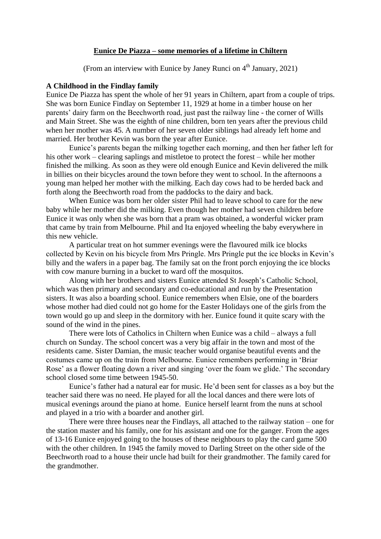# **Eunice De Piazza – some memories of a lifetime in Chiltern**

(From an interview with Eunice by Janey Runci on  $4<sup>th</sup>$  January, 2021)

### **A Childhood in the Findlay family**

Eunice De Piazza has spent the whole of her 91 years in Chiltern, apart from a couple of trips. She was born Eunice Findlay on September 11, 1929 at home in a timber house on her parents' dairy farm on the Beechworth road, just past the railway line - the corner of Wills and Main Street. She was the eighth of nine children, born ten years after the previous child when her mother was 45. A number of her seven older siblings had already left home and married. Her brother Kevin was born the year after Eunice.

Eunice's parents began the milking together each morning, and then her father left for his other work – clearing saplings and mistletoe to protect the forest – while her mother finished the milking. As soon as they were old enough Eunice and Kevin delivered the milk in billies on their bicycles around the town before they went to school. In the afternoons a young man helped her mother with the milking. Each day cows had to be herded back and forth along the Beechworth road from the paddocks to the dairy and back.

When Eunice was born her older sister Phil had to leave school to care for the new baby while her mother did the milking. Even though her mother had seven children before Eunice it was only when she was born that a pram was obtained, a wonderful wicker pram that came by train from Melbourne. Phil and Ita enjoyed wheeling the baby everywhere in this new vehicle.

A particular treat on hot summer evenings were the flavoured milk ice blocks collected by Kevin on his bicycle from Mrs Pringle. Mrs Pringle put the ice blocks in Kevin's billy and the wafers in a paper bag. The family sat on the front porch enjoying the ice blocks with cow manure burning in a bucket to ward off the mosquitos.

Along with her brothers and sisters Eunice attended St Joseph's Catholic School, which was then primary and secondary and co-educational and run by the Presentation sisters. It was also a boarding school. Eunice remembers when Elsie, one of the boarders whose mother had died could not go home for the Easter Holidays one of the girls from the town would go up and sleep in the dormitory with her. Eunice found it quite scary with the sound of the wind in the pines.

There were lots of Catholics in Chiltern when Eunice was a child – always a full church on Sunday. The school concert was a very big affair in the town and most of the residents came. Sister Damian, the music teacher would organise beautiful events and the costumes came up on the train from Melbourne. Eunice remembers performing in 'Briar Rose' as a flower floating down a river and singing 'over the foam we glide.' The secondary school closed some time between 1945-50.

Eunice's father had a natural ear for music. He'd been sent for classes as a boy but the teacher said there was no need. He played for all the local dances and there were lots of musical evenings around the piano at home. Eunice herself learnt from the nuns at school and played in a trio with a boarder and another girl.

There were three houses near the Findlays, all attached to the railway station – one for the station master and his family, one for his assistant and one for the ganger. From the ages of 13-16 Eunice enjoyed going to the houses of these neighbours to play the card game 500 with the other children. In 1945 the family moved to Darling Street on the other side of the Beechworth road to a house their uncle had built for their grandmother. The family cared for the grandmother.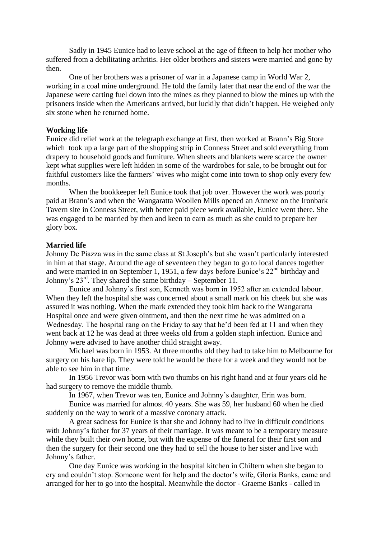Sadly in 1945 Eunice had to leave school at the age of fifteen to help her mother who suffered from a debilitating arthritis. Her older brothers and sisters were married and gone by then.

One of her brothers was a prisoner of war in a Japanese camp in World War 2, working in a coal mine underground. He told the family later that near the end of the war the Japanese were carting fuel down into the mines as they planned to blow the mines up with the prisoners inside when the Americans arrived, but luckily that didn't happen. He weighed only six stone when he returned home.

### **Working life**

Eunice did relief work at the telegraph exchange at first, then worked at Brann's Big Store which took up a large part of the shopping strip in Conness Street and sold everything from drapery to household goods and furniture. When sheets and blankets were scarce the owner kept what supplies were left hidden in some of the wardrobes for sale, to be brought out for faithful customers like the farmers' wives who might come into town to shop only every few months.

When the bookkeeper left Eunice took that job over. However the work was poorly paid at Brann's and when the Wangaratta Woollen Mills opened an Annexe on the Ironbark Tavern site in Conness Street, with better paid piece work available, Eunice went there. She was engaged to be married by then and keen to earn as much as she could to prepare her glory box.

#### **Married life**

Johnny De Piazza was in the same class at St Joseph's but she wasn't particularly interested in him at that stage. Around the age of seventeen they began to go to local dances together and were married in on September 1, 1951, a few days before Eunice's  $22<sup>nd</sup>$  birthday and Johnny's  $23^{\text{rd}}$ . They shared the same birthday – September 11.

Eunice and Johnny's first son, Kenneth was born in 1952 after an extended labour. When they left the hospital she was concerned about a small mark on his cheek but she was assured it was nothing. When the mark extended they took him back to the Wangaratta Hospital once and were given ointment, and then the next time he was admitted on a Wednesday. The hospital rang on the Friday to say that he'd been fed at 11 and when they went back at 12 he was dead at three weeks old from a golden staph infection. Eunice and Johnny were advised to have another child straight away.

Michael was born in 1953. At three months old they had to take him to Melbourne for surgery on his hare lip. They were told he would be there for a week and they would not be able to see him in that time.

In 1956 Trevor was born with two thumbs on his right hand and at four years old he had surgery to remove the middle thumb.

In 1967, when Trevor was ten, Eunice and Johnny's daughter, Erin was born.

Eunice was married for almost 40 years. She was 59, her husband 60 when he died suddenly on the way to work of a massive coronary attack.

A great sadness for Eunice is that she and Johnny had to live in difficult conditions with Johnny's father for 37 years of their marriage. It was meant to be a temporary measure while they built their own home, but with the expense of the funeral for their first son and then the surgery for their second one they had to sell the house to her sister and live with Johnny's father.

One day Eunice was working in the hospital kitchen in Chiltern when she began to cry and couldn't stop. Someone went for help and the doctor's wife, Gloria Banks, came and arranged for her to go into the hospital. Meanwhile the doctor - Graeme Banks - called in